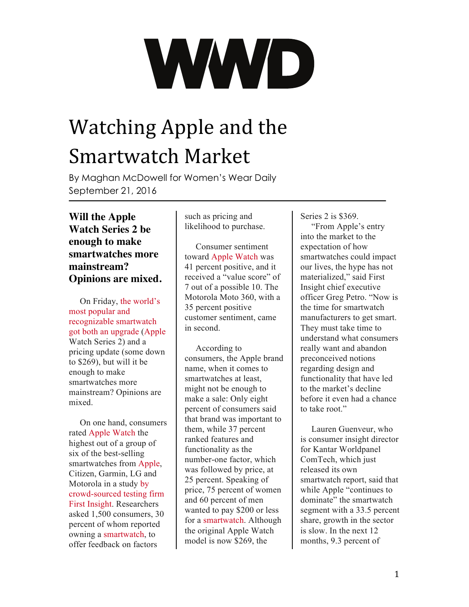## Watching Apple and the Smartwatch Market

By Maghan McDowell for Women's Wear Daily September 21, 2016

**Will the Apple Watch Series 2 be enough to make smartwatches more mainstream? Opinions are mixed.**

On Friday, [the world's](http://wwd.com/media-news/digital/apple-fashion-apple-watch-update-10523260/) [most popular and](http://wwd.com/media-news/digital/apple-fashion-apple-watch-update-10523260/)  [recognizable smartwatch](http://wwd.com/media-news/digital/apple-fashion-apple-watch-update-10523260/)  [got both an upgrade](http://wwd.com/media-news/digital/apple-fashion-apple-watch-update-10523260/) [\(Apple](http://wwd.com/tag/apple-2/) Watch Series 2) and a pricing update (some down to \$269), but will it be enough to make smartwatches more mainstream? Opinions are mixed.

On one hand, consumers rated [Apple Watch](http://wwd.com/tag/apple-watch/) the highest out of a group of six of the best-selling smartwatches from [Apple,](http://wwd.com/accessories-news/trends/iphone-cases-smartphone-speck-apple-tim-cook-10525730/) Citizen, Garmin, LG and Motorola in a study [by](http://wwd.com/menswear-news/retail-business/first-insight-greg-petro-data-wwd-mens-wear-summit-10400641/)  [crowd-sourced testing firm](http://wwd.com/menswear-news/retail-business/first-insight-greg-petro-data-wwd-mens-wear-summit-10400641/)  [First Insight.](http://wwd.com/menswear-news/retail-business/first-insight-greg-petro-data-wwd-mens-wear-summit-10400641/) Researchers asked 1,500 consumers, 30 percent of whom reported owning a [smartwatch](http://wwd.com/tag/smartwatch-2/), to offer feedback on factors

such as pricing and likelihood to purchase.

Consumer sentiment toward [Apple Watch](http://wwd.com/accessories-news/watches/watches-richemont-swatch-apple-hard-luxury-10522971/) was 41 percent positive, and it received a "value score" of 7 out of a possible 10. The Motorola Moto 360, with a 35 percent positive customer sentiment, came in second.

According to consumers, the Apple brand name, when it comes to smartwatches at least, might not be enough to make a sale: Only eight percent of consumers said that brand was important to them, while 37 percent ranked features and functionality as the number-one factor, which was followed by price, at 25 percent. Speaking of price, 75 percent of women and 60 percent of men wanted to pay \$200 or less for a [smartwatch](http://wwd.com/accessories-news/watches/basic-wearables-more-popular-smart-wearables-10522412/). Although the original Apple Watch model is now \$269, the

Series 2 is \$369.

"From Apple's entry into the market to the expectation of how smartwatches could impact our lives, the hype has not materialized," said First Insight chief executive officer Greg Petro. "Now is the time for smartwatch manufacturers to get smart. They must take time to understand what consumers really want and abandon preconceived notions regarding design and functionality that have led to the market's decline before it even had a chance to take root."

Lauren Guenveur, who is consumer insight director for Kantar Worldpanel ComTech, which just released its own smartwatch report, said that while Apple "continues to dominate" the smartwatch segment with a 33.5 percent share, growth in the sector is slow. In the next 12 months, 9.3 percent of